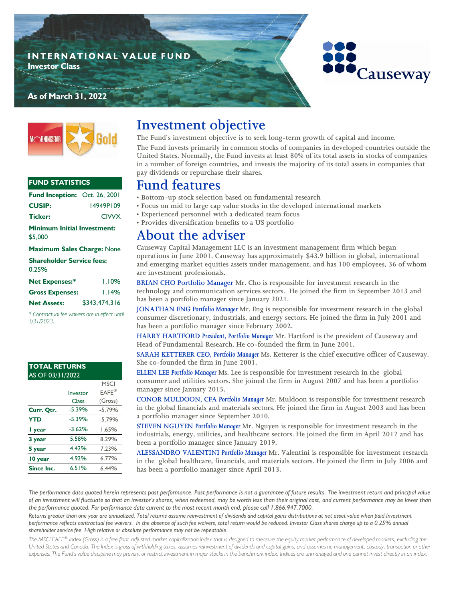## **I N T E R N A T I O N A L V A L U E F U N D**

**Investor Class**



#### **As of March 31, 2022**



#### **FUND STATISTICS**

| <b>Fund Inception: Oct. 26, 2001</b>          |              |
|-----------------------------------------------|--------------|
| <b>CUSIP:</b>                                 | 14949P109    |
| Ticker:                                       | <b>CIVVX</b> |
| <b>Minimum Initial Investment:</b><br>\$5.000 |              |
| Maximum Sales Charge: None                    |              |
|                                               |              |

| <b>Shareholder Service fees:</b> |               |  |
|----------------------------------|---------------|--|
| 0.25%                            |               |  |
| <b>Net Expenses:*</b>            | 1.10%         |  |
| <b>Gross Expenses:</b>           | 1.14%         |  |
| <b>Net Assets:</b>               | \$343,474,316 |  |

*\* Contractual fee waivers are in effect until 1/31/2023.*

| <b>TOTAL RETURNS</b> |  |
|----------------------|--|
| AS OF 03/31/2022     |  |
|                      |  |
|                      |  |

|            | Investor | $E A F E^{\circledR}$ |
|------------|----------|-----------------------|
|            | Class    | (Gross)               |
| Curr. Qtr. | $-5.39%$ | $-5.79%$              |
| <b>YTD</b> | $-5.39%$ | $-5.79%$              |
| I year     | $-3.62%$ | 1.65%                 |
| 3 year     | 5.58%    | 8.29%                 |
| 5 year     | 4.42%    | 7.23%                 |
| 10 year    | 4.92%    | 6.77%                 |
| Since Inc. | 6.51%    | 6.44%                 |

**MSCI** 

# **Investment objective**

**The Fund's investment objective is to seek long-term growth of capital and income. The Fund invests primarily in common stocks of companies in developed countries outside the United States. Normally, the Fund invests at least 80% of its total assets in stocks of companies in a number of foreign countries, and invests the majority of its total assets in companies that pay dividends or repurchase their shares.**

## **Fund features**

- **Bottom-up stock selection based on fundamental research**
- **Focus on mid to large cap value stocks in the developed international markets**
- **Experienced personnel with a dedicated team focus**
- **Provides diversification benefits to a US portfolio**

# **About the adviser**

**Causeway Capital Management LLC is an investment management firm which began operations in June 2001. Causeway has approximately \$43.9 billion in global, international and emerging market equities assets under management, and has 100 employees, 36 of whom are investment professionals.** 

**BRIAN CHO Portfolio Manager Mr. Cho is responsible for investment research in the technology and communication services sectors. He joined the firm in September 2013 and has been a portfolio manager since January 2021.** 

**JONATHAN ENG** *Portfolio Manager* **Mr. Eng is responsible for investment research in the global consumer discretionary, industrials, and energy sectors. He joined the firm in July 2001 and has been a portfolio manager since February 2002.** 

**HARRY HARTFORD** *President, Portfolio Manager* **Mr. Hartford is the president of Causeway and Head of Fundamental Research. He co-founded the firm in June 2001.** 

**SARAH KETTERER CEO,** *Portfolio Manager* **Ms. Ketterer is the chief executive officer of Causeway. She co-founded the firm in June 2001.** 

**ELLEN LEE** *Portfolio Manager* **Ms. Lee is responsible for investment research in the global consumer and utilities sectors. She joined the firm in August 2007 and has been a portfolio manager since January 2015.** 

**CONOR MULDOON, CFA** *Portfolio Manager* **Mr. Muldoon is responsible for investment research in the global financials and materials sectors. He joined the firm in August 2003 and has been a portfolio manager since September 2010.**

**STEVEN NGUYEN** *Portfolio Manager* **Mr. Nguyen is responsible for investment research in the industrials, energy, utilities, and healthcare sectors. He joined the firm in April 2012 and has been a portfolio manager since January 2019.**

**ALESSANDRO VALENTINI** *Portfolio Manager* **Mr. Valentini is responsible for investment research in the global healthcare, financials, and materials sectors. He joined the firm in July 2006 and has been a portfolio manager since April 2013.**

*The performance data quoted herein represents past performance. Past performance is not a guarantee of future results. The investment return and principal value of an investment will fluctuate so that an investor's shares, when redeemed, may be worth less than their original cost, and current performance may be lower than the performance quoted. For performance data current to the most recent month end, please call 1.866.947.7000.* 

*Returns greater than one year are annualized. Total returns assume reinvestment of dividends and capital gains distributions at net asset value when paid.Investment performance reflects contractual fee waivers. In the absence of such fee waivers, total return would be reduced. Investor Class shares charge up to a 0.25% annual shareholder service fee. High relative or absolute performance may not be repeatable.*

*The MSCI EAFE® Index (Gross) is a free float-adjusted market capitalization index that is designed to measure the equity market performance of developed markets, excluding the*  United States and Canada. The Index is gross of withholding taxes, assumes reinvestment of dividends and capital gains, and assumes no management, custody, transaction or other *expenses. The Fund's value discipline may prevent or restrict investment in major stocks in the benchmark index. Indices are unmanaged and one cannot invest directly in an index.*